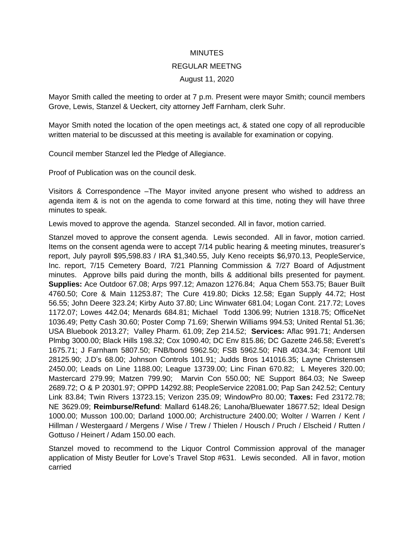## MINUTES

## REGULAR MEETNG

## August 11, 2020

Mayor Smith called the meeting to order at 7 p.m. Present were mayor Smith; council members Grove, Lewis, Stanzel & Ueckert, city attorney Jeff Farnham, clerk Suhr.

Mayor Smith noted the location of the open meetings act, & stated one copy of all reproducible written material to be discussed at this meeting is available for examination or copying.

Council member Stanzel led the Pledge of Allegiance.

Proof of Publication was on the council desk.

Visitors & Correspondence –The Mayor invited anyone present who wished to address an agenda item & is not on the agenda to come forward at this time, noting they will have three minutes to speak.

Lewis moved to approve the agenda. Stanzel seconded. All in favor, motion carried.

Stanzel moved to approve the consent agenda. Lewis seconded. All in favor, motion carried. Items on the consent agenda were to accept 7/14 public hearing & meeting minutes, treasurer's report, July payroll \$95,598.83 / IRA \$1,340.55, July Keno receipts \$6,970.13, PeopleService, Inc. report, 7/15 Cemetery Board, 7/21 Planning Commission & 7/27 Board of Adjustment minutes. Approve bills paid during the month, bills & additional bills presented for payment. **Supplies:** Ace Outdoor 67.08; Arps 997.12; Amazon 1276.84; Aqua Chem 553.75; Bauer Built 4760.50; Core & Main 11253.87; The Cure 419.80; Dicks 12.58; Egan Supply 44.72; Host 56.55; John Deere 323.24; Kirby Auto 37.80; Linc Winwater 681.04; Logan Cont. 217.72; Loves 1172.07; Lowes 442.04; Menards 684.81; Michael Todd 1306.99; Nutrien 1318.75; OfficeNet 1036.49; Petty Cash 30.60; Poster Comp 71.69; Sherwin Williams 994.53; United Rental 51.36; USA Bluebook 2013.27; Valley Pharm. 61.09; Zep 214.52; **Services:** Aflac 991.71; Andersen Plmbg 3000.00; Black Hills 198.32; Cox 1090.40; DC Env 815.86; DC Gazette 246.58; Everett's 1675.71; J Farnham 5807.50; FNB/bond 5962.50; FSB 5962.50; FNB 4034.34; Fremont Util 28125.90; J.D's 68.00; Johnson Controls 101.91; Judds Bros 141016.35; Layne Christensen 2450.00; Leads on Line 1188.00; League 13739.00; Linc Finan 670.82; L Meyeres 320.00; Mastercard 279.99; Matzen 799.90; Marvin Con 550.00; NE Support 864.03; Ne Sweep 2689.72; O & P 20301.97; OPPD 14292.88; PeopleService 22081.00; Pap San 242.52; Century Link 83.84; Twin Rivers 13723.15; Verizon 235.09; WindowPro 80.00; **Taxes:** Fed 23172.78; NE 3629.09; **Reimburse/Refund**: Mallard 6148.26; Lanoha/Bluewater 18677.52; Ideal Design 1000.00; Musson 100.00; Darland 1000.00; Archistructure 2400.00; Wolter / Warren / Kent / Hillman / Westergaard / Mergens / Wise / Trew / Thielen / Housch / Pruch / Elscheid / Rutten / Gottuso / Heinert / Adam 150.00 each.

Stanzel moved to recommend to the Liquor Control Commission approval of the manager application of Misty Beutler for Love's Travel Stop #631. Lewis seconded. All in favor, motion carried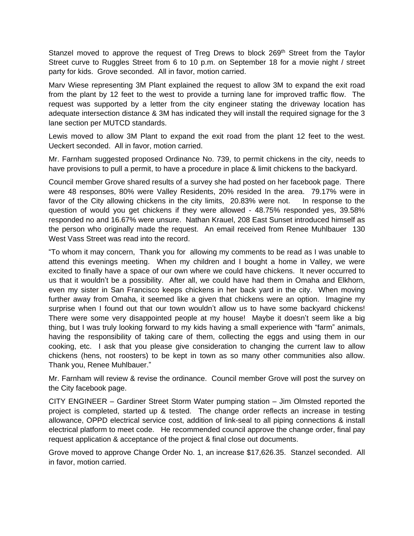Stanzel moved to approve the request of Treg Drews to block 269<sup>th</sup> Street from the Taylor Street curve to Ruggles Street from 6 to 10 p.m. on September 18 for a movie night / street party for kids. Grove seconded. All in favor, motion carried.

Marv Wiese representing 3M Plant explained the request to allow 3M to expand the exit road from the plant by 12 feet to the west to provide a turning lane for improved traffic flow. The request was supported by a letter from the city engineer stating the driveway location has adequate intersection distance & 3M has indicated they will install the required signage for the 3 lane section per MUTCD standards.

Lewis moved to allow 3M Plant to expand the exit road from the plant 12 feet to the west. Ueckert seconded. All in favor, motion carried.

Mr. Farnham suggested proposed Ordinance No. 739, to permit chickens in the city, needs to have provisions to pull a permit, to have a procedure in place & limit chickens to the backyard.

Council member Grove shared results of a survey she had posted on her facebook page. There were 48 responses, 80% were Valley Residents, 20% resided In the area. 79.17% were in favor of the City allowing chickens in the city limits, 20.83% were not. In response to the question of would you get chickens if they were allowed - 48.75% responded yes, 39.58% responded no and 16.67% were unsure. Nathan Krauel, 208 East Sunset introduced himself as the person who originally made the request. An email received from Renee Muhlbauer 130 West Vass Street was read into the record.

"To whom it may concern, Thank you for allowing my comments to be read as I was unable to attend this evenings meeting. When my children and I bought a home in Valley, we were excited to finally have a space of our own where we could have chickens. It never occurred to us that it wouldn't be a possibility. After all, we could have had them in Omaha and Elkhorn, even my sister in San Francisco keeps chickens in her back yard in the city. When moving further away from Omaha, it seemed like a given that chickens were an option. Imagine my surprise when I found out that our town wouldn't allow us to have some backyard chickens! There were some very disappointed people at my house! Maybe it doesn't seem like a big thing, but I was truly looking forward to my kids having a small experience with "farm" animals, having the responsibility of taking care of them, collecting the eggs and using them in our cooking, etc. I ask that you please give consideration to changing the current law to allow chickens (hens, not roosters) to be kept in town as so many other communities also allow. Thank you, Renee Muhlbauer."

Mr. Farnham will review & revise the ordinance. Council member Grove will post the survey on the City facebook page.

CITY ENGINEER – Gardiner Street Storm Water pumping station – Jim Olmsted reported the project is completed, started up & tested. The change order reflects an increase in testing allowance, OPPD electrical service cost, addition of link-seal to all piping connections & install electrical platform to meet code. He recommended council approve the change order, final pay request application & acceptance of the project & final close out documents.

Grove moved to approve Change Order No. 1, an increase \$17,626.35. Stanzel seconded. All in favor, motion carried.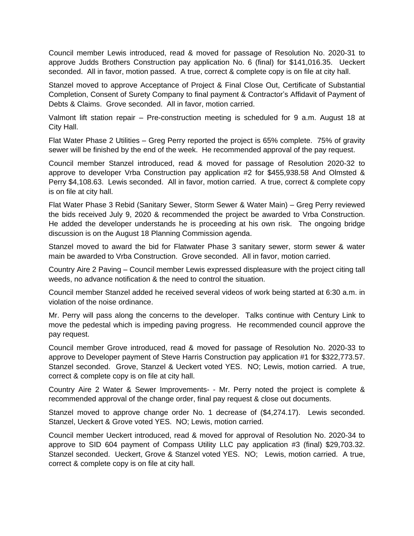Council member Lewis introduced, read & moved for passage of Resolution No. 2020-31 to approve Judds Brothers Construction pay application No. 6 (final) for \$141,016.35. Ueckert seconded. All in favor, motion passed. A true, correct & complete copy is on file at city hall.

Stanzel moved to approve Acceptance of Project & Final Close Out, Certificate of Substantial Completion, Consent of Surety Company to final payment & Contractor's Affidavit of Payment of Debts & Claims. Grove seconded. All in favor, motion carried.

Valmont lift station repair – Pre-construction meeting is scheduled for 9 a.m. August 18 at City Hall.

Flat Water Phase 2 Utilities – Greg Perry reported the project is 65% complete. 75% of gravity sewer will be finished by the end of the week. He recommended approval of the pay request.

Council member Stanzel introduced, read & moved for passage of Resolution 2020-32 to approve to developer Vrba Construction pay application #2 for \$455,938.58 And Olmsted & Perry \$4,108.63. Lewis seconded. All in favor, motion carried. A true, correct & complete copy is on file at city hall.

Flat Water Phase 3 Rebid (Sanitary Sewer, Storm Sewer & Water Main) – Greg Perry reviewed the bids received July 9, 2020 & recommended the project be awarded to Vrba Construction. He added the developer understands he is proceeding at his own risk. The ongoing bridge discussion is on the August 18 Planning Commission agenda.

Stanzel moved to award the bid for Flatwater Phase 3 sanitary sewer, storm sewer & water main be awarded to Vrba Construction. Grove seconded. All in favor, motion carried.

Country Aire 2 Paving – Council member Lewis expressed displeasure with the project citing tall weeds, no advance notification & the need to control the situation.

Council member Stanzel added he received several videos of work being started at 6:30 a.m. in violation of the noise ordinance.

Mr. Perry will pass along the concerns to the developer. Talks continue with Century Link to move the pedestal which is impeding paving progress. He recommended council approve the pay request.

Council member Grove introduced, read & moved for passage of Resolution No. 2020-33 to approve to Developer payment of Steve Harris Construction pay application #1 for \$322,773.57. Stanzel seconded. Grove, Stanzel & Ueckert voted YES. NO; Lewis, motion carried. A true, correct & complete copy is on file at city hall.

Country Aire 2 Water & Sewer Improvements- - Mr. Perry noted the project is complete & recommended approval of the change order, final pay request & close out documents.

Stanzel moved to approve change order No. 1 decrease of (\$4,274.17). Lewis seconded. Stanzel, Ueckert & Grove voted YES. NO; Lewis, motion carried.

Council member Ueckert introduced, read & moved for approval of Resolution No. 2020-34 to approve to SID 604 payment of Compass Utility LLC pay application #3 (final) \$29,703.32. Stanzel seconded. Ueckert, Grove & Stanzel voted YES. NO; Lewis, motion carried. A true, correct & complete copy is on file at city hall.